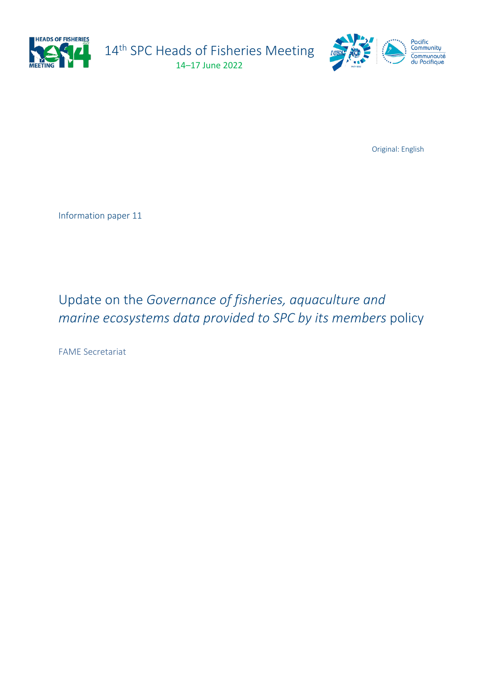

14<sup>th</sup> SPC Heads of Fisheries Meeting 14–17 June 2022



Original: English

Information paper 11

## Update on the *Governance of fisheries, aquaculture and marine ecosystems data provided to SPC by its members* policy

FAME Secretariat